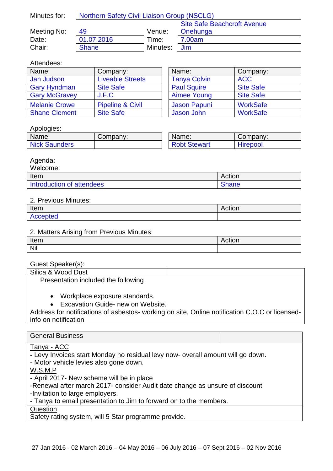| Minutes for: | <b>Northern Safety Civil Liaison Group (NSCLG)</b> |          |                                    |
|--------------|----------------------------------------------------|----------|------------------------------------|
|              |                                                    |          | <b>Site Safe Beachcroft Avenue</b> |
| Meeting No:  | 49                                                 | Venue:   | Onehunga                           |
| Date:        | 01.07.2016                                         | Time:    | 7.00am                             |
| Chair:       | <b>Shane</b>                                       | Minutes: | Jim                                |

#### Attendees:

| Name:                | Company:                    | Name: |                     | Company:         |
|----------------------|-----------------------------|-------|---------------------|------------------|
| Jan Judson           | <b>Liveable Streets</b>     |       | <b>Tanya Colvin</b> | <b>ACC</b>       |
| <b>Gary Hyndman</b>  | <b>Site Safe</b>            |       | <b>Paul Squire</b>  | <b>Site Safe</b> |
| <b>Gary McGravey</b> | J.F.C                       |       | <b>Aimee Young</b>  | <b>Site Safe</b> |
| <b>Melanie Crowe</b> | <b>Pipeline &amp; Civil</b> |       | <b>Jason Papuni</b> | <b>WorkSafe</b>  |
| <b>Shane Clement</b> | <b>Site Safe</b>            |       | Jason John          | <b>WorkSafe</b>  |

| Name:               | Company:         |  |
|---------------------|------------------|--|
| <b>Tanya Colvin</b> | <b>ACC</b>       |  |
| <b>Paul Squire</b>  | <b>Site Safe</b> |  |
| <b>Aimee Young</b>  | <b>Site Safe</b> |  |
| <b>Jason Papuni</b> | <b>WorkSafe</b>  |  |
| <b>Jason John</b>   | <b>WorkSafe</b>  |  |

## Apologies:

| Name:                | Company: | Name:               | Company: |
|----------------------|----------|---------------------|----------|
| <b>Nick Saunders</b> |          | <b>Robt Stewart</b> | Hirepool |

### Agenda:

| Welcome:                  |              |
|---------------------------|--------------|
| Item                      | Action       |
| Introduction of attendees | <b>Shane</b> |

### 2. Previous Minutes:

| Item                        | ----<br>NGUUH |
|-----------------------------|---------------|
| 'oteg<br>Δr<br><b>LINNA</b> |               |

### 2. Matters Arising from Previous Minutes:

| Item | NGUUH |
|------|-------|
| Nil  |       |

# Guest Speaker(s):

| _ _ _ _ _ _ _ _ _ _ _ _ _           |  |
|-------------------------------------|--|
| Silica & Wood Dust                  |  |
| Presentation included the following |  |

- Workplace exposure standards.
- Excavation Guide- new on Website.

Address for notifications of asbestos- working on site, Online notification C.O.C or licensedinfo on notification

| <b>General Business</b>                                                         |  |  |
|---------------------------------------------------------------------------------|--|--|
|                                                                                 |  |  |
| Tanya - ACC                                                                     |  |  |
| - Levy Invoices start Monday no residual levy now- overall amount will go down. |  |  |
| - Motor vehicle levies also gone down.                                          |  |  |
| W.S.M.P                                                                         |  |  |
| - April 2017- New scheme will be in place                                       |  |  |
| -Renewal after march 2017- consider Audit date change as unsure of discount.    |  |  |
| -Invitation to large employers.                                                 |  |  |
| - Tanya to email presentation to Jim to forward on to the members.              |  |  |
| Question                                                                        |  |  |

Safety rating system, will 5 Star programme provide.